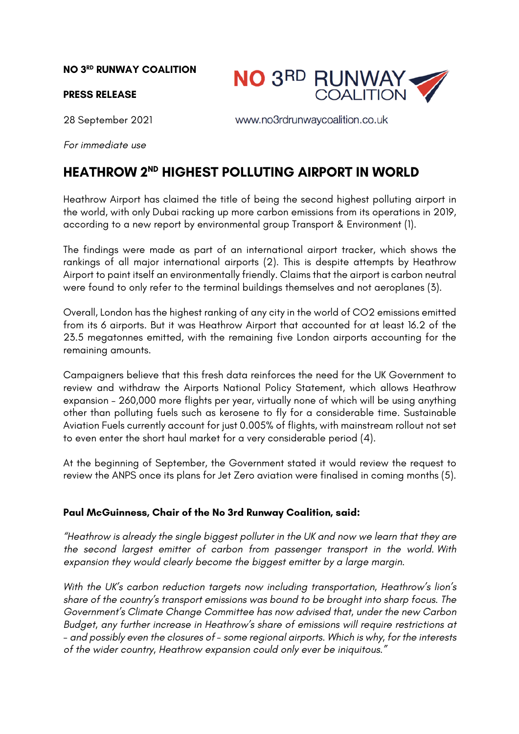## **NO 3RD RUNWAY COALITION**

## **PRESS RELEASE**

**NO 3RD RUNWAY**<br>COALITION

28 September 2021

www.no3rdrunwaycoalition.co.uk

*For immediate use*

## **HEATHROW 2ND HIGHEST POLLUTING AIRPORT IN WORLD**

Heathrow Airport has claimed the title of being the second highest polluting airport in the world, with only Dubai racking up more carbon emissions from its operations in 2019, according to a new report by environmental group Transport & Environment (1).

The findings were made as part of an international airport tracker, which shows the rankings of all major international airports (2). This is despite attempts by Heathrow Airport to paint itself an environmentally friendly. Claims that the airport is carbon neutral were found to only refer to the terminal buildings themselves and not aeroplanes (3).

Overall, London has the highest ranking of any city in the world of CO2 emissions emitted from its 6 airports. But it was Heathrow Airport that accounted for at least 16.2 of the 23.5 megatonnes emitted, with the remaining five London airports accounting for the remaining amounts.

Campaigners believe that this fresh data reinforces the need for the UK Government to review and withdraw the Airports National Policy Statement, which allows Heathrow expansion – 260,000 more flights per year, virtually none of which will be using anything other than polluting fuels such as kerosene to fly for a considerable time. Sustainable Aviation Fuels currently account for just 0.005% of flights, with mainstream rollout not set to even enter the short haul market for a very considerable period (4).

At the beginning of September, the Government stated it would review the request to review the ANPS once its plans for Jet Zero aviation were finalised in coming months (5).

## **Paul McGuinness, Chair of the No 3rd Runway Coalition, said:**

*"Heathrow is already the single biggest polluter in the UK and now we learn that they are the second largest emitter of carbon from passenger transport in the world. With expansion they would clearly become the biggest emitter by a large margin.*

*With the UK's carbon reduction targets now including transportation, Heathrow's lion's share of the country's transport emissions was bound to be brought into sharp focus. The Government's Climate Change Committee has now advised that, under the new Carbon Budget, any further increase in Heathrow's share of emissions will require restrictions at - and possibly even the closures of - some regional airports. Which is why, for the interests of the wider country, Heathrow expansion could only ever be iniquitous."*